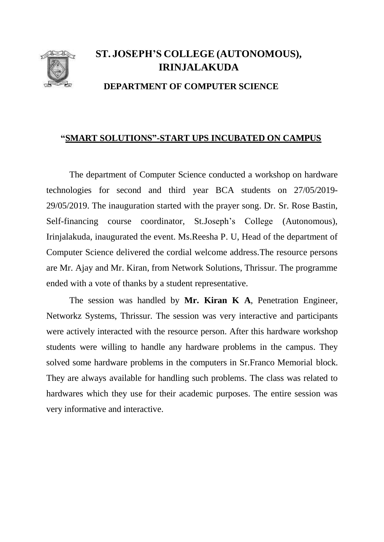

## **ST. JOSEPH'S COLLEGE (AUTONOMOUS), IRINJALAKUDA DEPARTMENT OF COMPUTER SCIENCE**

## **"SMART SOLUTIONS"-START UPS INCUBATED ON CAMPUS**

The department of Computer Science conducted a workshop on hardware technologies for second and third year BCA students on 27/05/2019- 29/05/2019. The inauguration started with the prayer song. Dr. Sr. Rose Bastin, Self-financing course coordinator, St.Joseph's College (Autonomous), Irinjalakuda, inaugurated the event. Ms.Reesha P. U, Head of the department of Computer Science delivered the cordial welcome address.The resource persons are Mr. Ajay and Mr. Kiran, from Network Solutions, Thrissur. The programme ended with a vote of thanks by a student representative.

The session was handled by **Mr. Kiran K A**, Penetration Engineer, Networkz Systems, Thrissur. The session was very interactive and participants were actively interacted with the resource person. After this hardware workshop students were willing to handle any hardware problems in the campus. They solved some hardware problems in the computers in Sr.Franco Memorial block. They are always available for handling such problems. The class was related to hardwares which they use for their academic purposes. The entire session was very informative and interactive.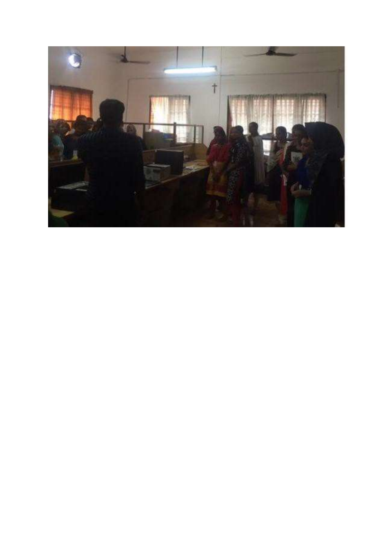